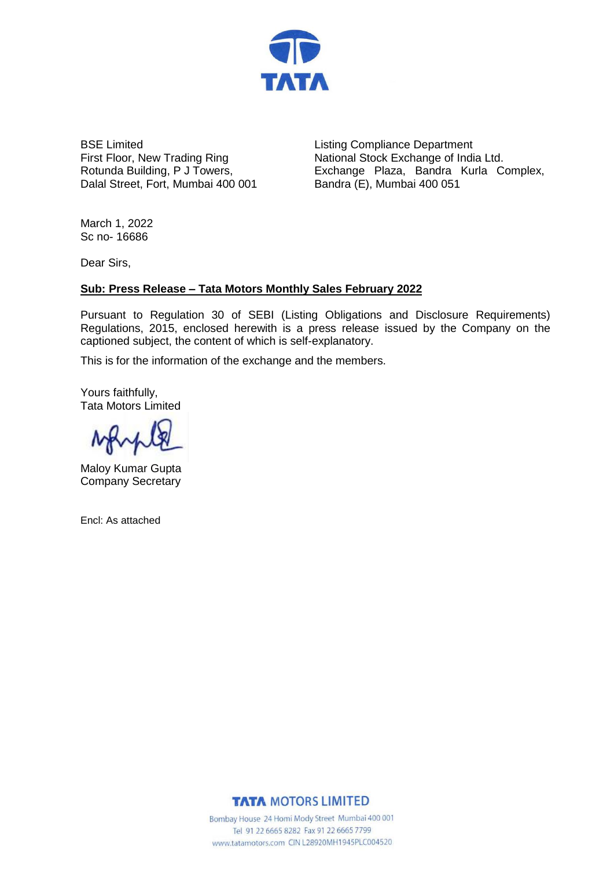

BSE Limited First Floor, New Trading Ring Rotunda Building, P J Towers, Dalal Street, Fort, Mumbai 400 001

Listing Compliance Department National Stock Exchange of India Ltd. Exchange Plaza, Bandra Kurla Complex, Bandra (E), Mumbai 400 051

March 1, 2022 Sc no- 16686

Dear Sirs,

## **Sub: Press Release – Tata Motors Monthly Sales February 2022**

Pursuant to Regulation 30 of SEBI (Listing Obligations and Disclosure Requirements) Regulations, 2015, enclosed herewith is a press release issued by the Company on the captioned subject, the content of which is self-explanatory.

This is for the information of the exchange and the members.

Yours faithfully, Tata Motors Limited

Maloy Kumar Gupta Company Secretary

Encl: As attached

**TATA MOTORS LIMITED** 

Bombay House 24 Homi Mody Street Mumbai 400 001 Tel 91 22 6665 8282 Fax 91 22 6665 7799 www.tatamotors.com CIN L28920MH1945PLC004520